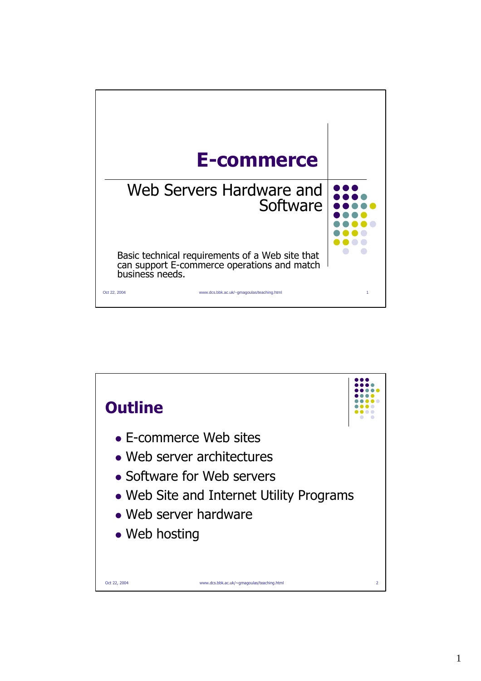

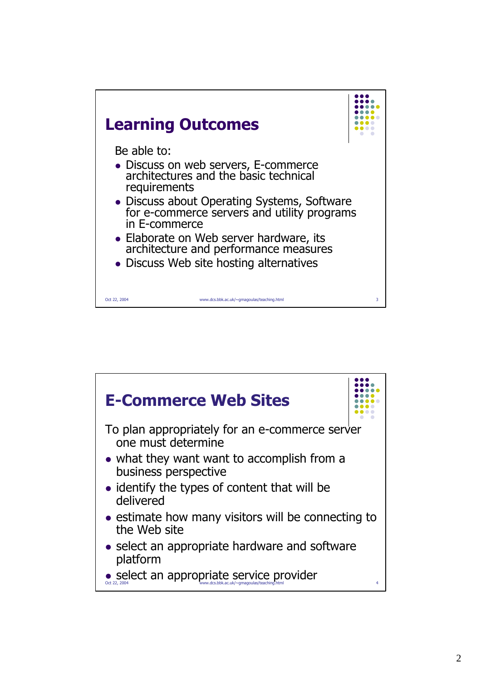

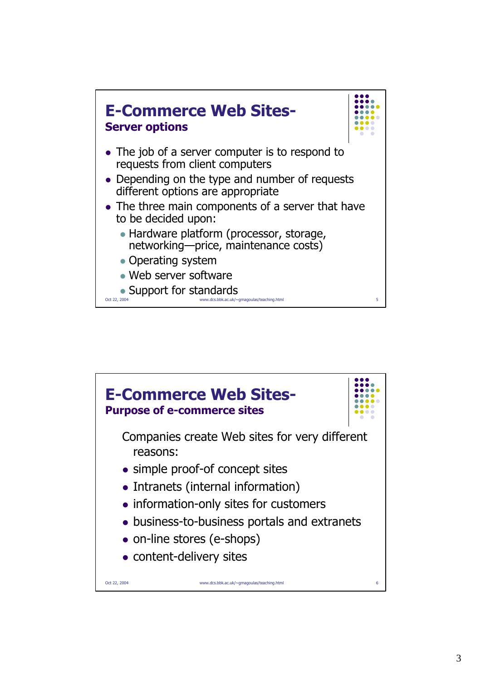

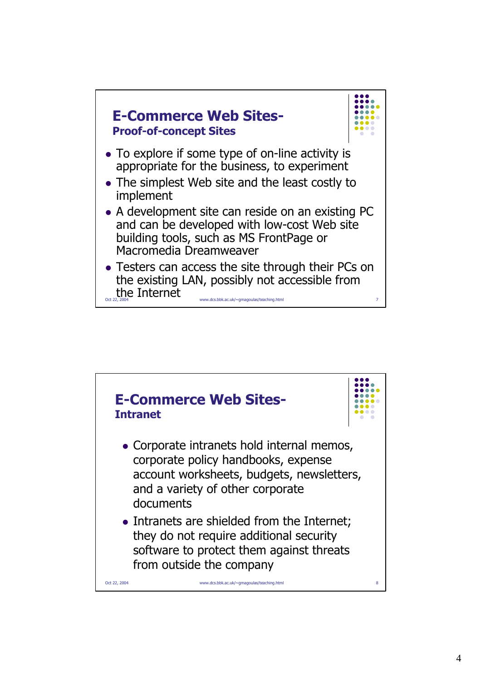

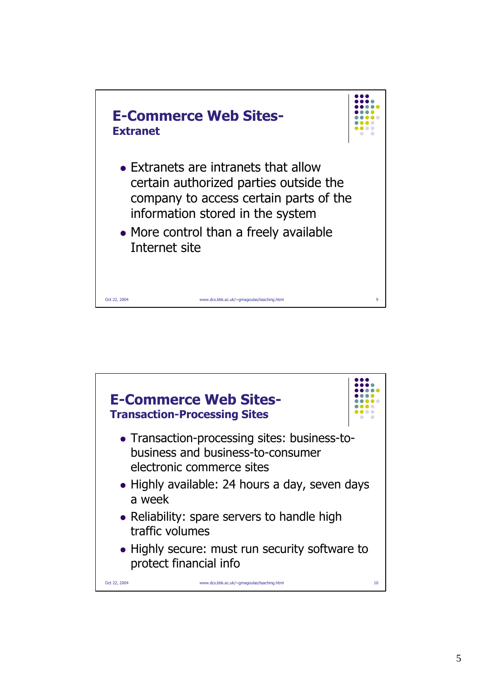

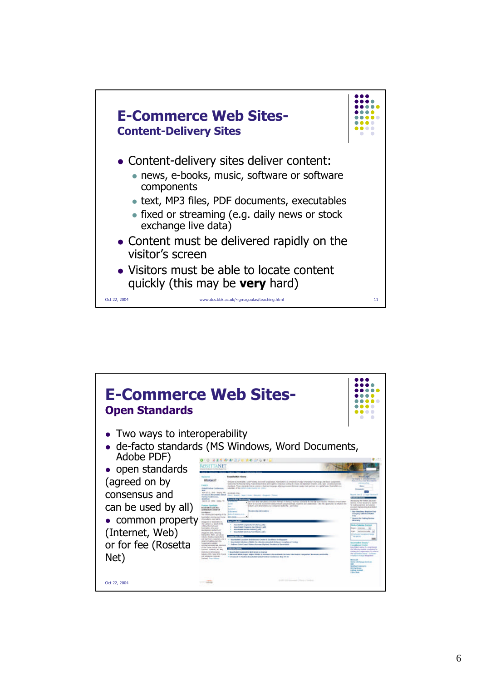

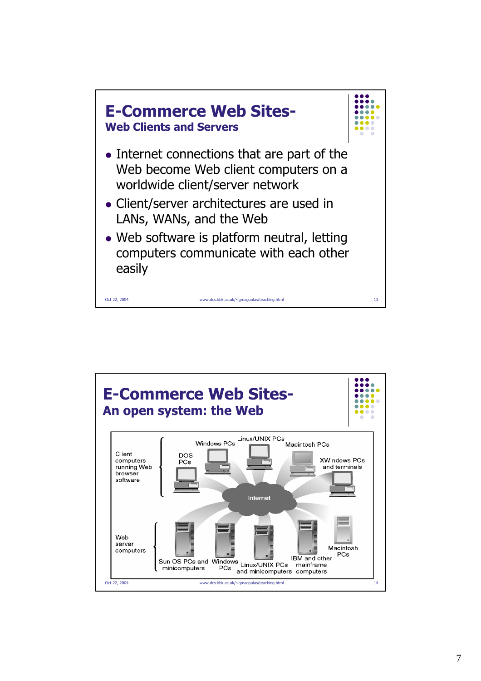

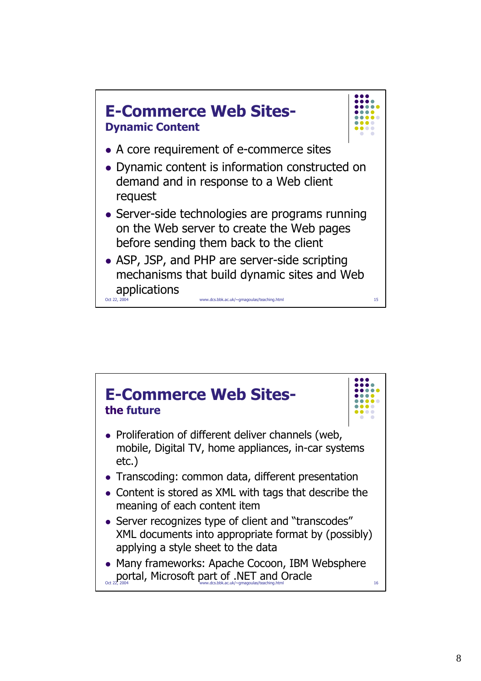

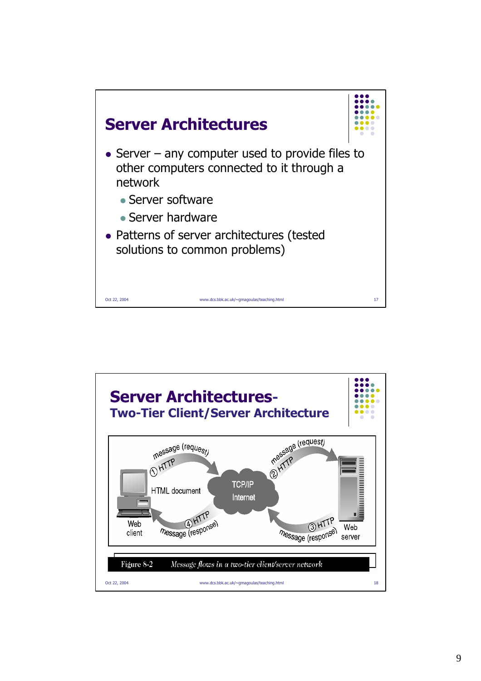

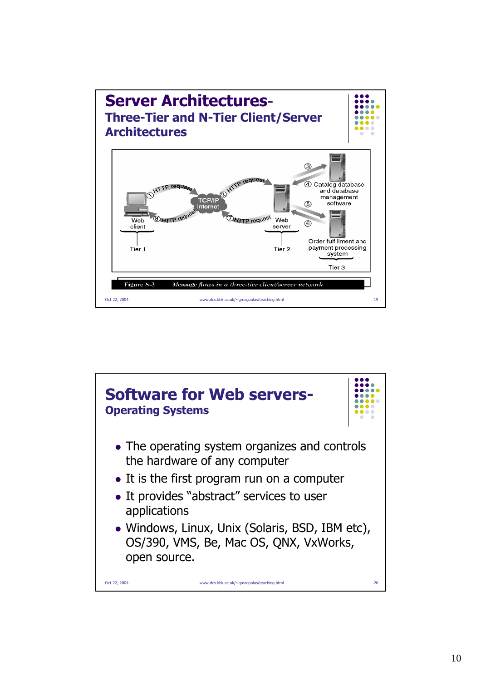

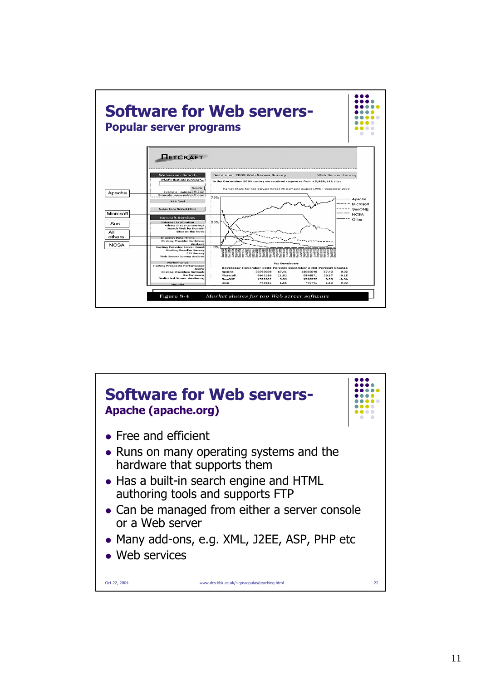

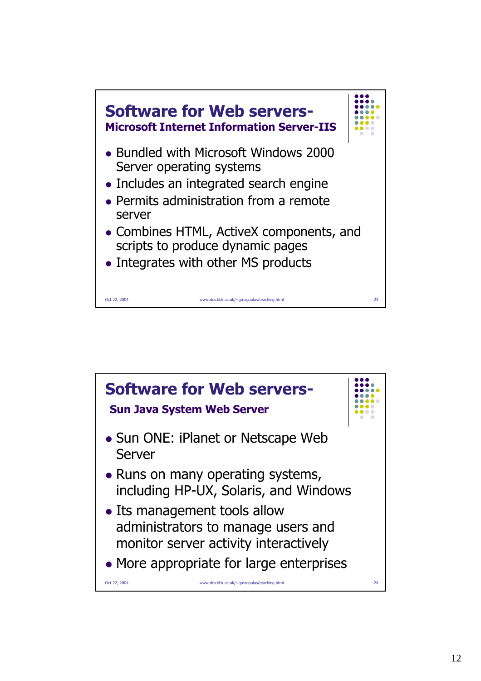

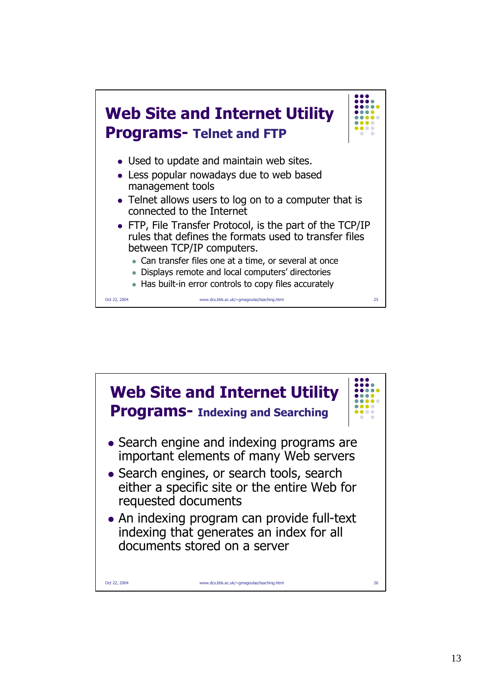

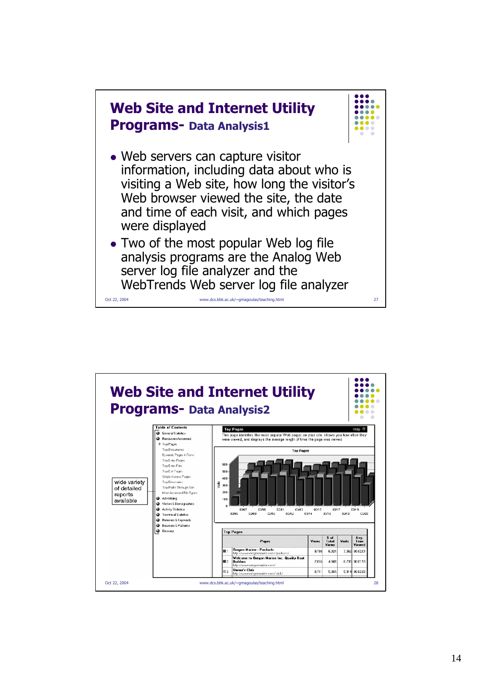

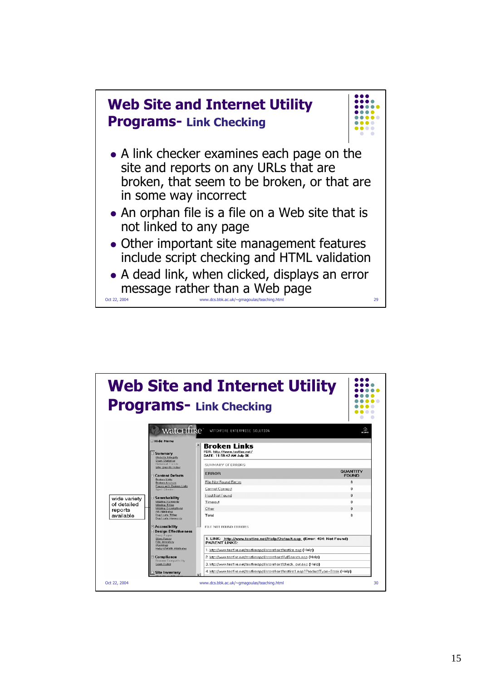

|                                                     |                                                                                                                                                                                                                                                                                                                                                                                                       | <b>Web Site and Internet Utility</b><br><b>Programs- Link Checking</b>                                                                            |                               |
|-----------------------------------------------------|-------------------------------------------------------------------------------------------------------------------------------------------------------------------------------------------------------------------------------------------------------------------------------------------------------------------------------------------------------------------------------------------------------|---------------------------------------------------------------------------------------------------------------------------------------------------|-------------------------------|
|                                                     | watcHfire <sup>-</sup>                                                                                                                                                                                                                                                                                                                                                                                | WATCHFIRE ENTERPRISE SOLUTION                                                                                                                     | ᇒ                             |
|                                                     | E Hide Menu<br>⊟ Summary<br>Website Integrity<br>Scan Statistics                                                                                                                                                                                                                                                                                                                                      | <b>Broken Links</b><br>FOR: http://www.testfire.net/<br>DATE: 11:59:42 AM July 06                                                                 |                               |
|                                                     | Historical Trends<br>Site Quality Index<br>⊟ Content Defects                                                                                                                                                                                                                                                                                                                                          | SUMMARY OF ERRORS<br><b>ERROR</b>                                                                                                                 | QUANTITY<br><b>FOUND</b>      |
|                                                     | <b>Broken Links</b><br><b>Broken Anchors</b><br>Pages with Broken Links<br>Spell Checker                                                                                                                                                                                                                                                                                                              | File Not Found Errors<br>Cannot Connect                                                                                                           | 8<br>$\mathbf 0$              |
| wide variety<br>of detailed<br>reports<br>available | $\boxminus$ Searchability<br>Missing Keywords<br>Missing Titles<br><b>Missing Descriptions</b><br>Alt Attributes<br><b>Duplicate Titles</b><br>Duplicate Keywords<br><b>E Accessibility</b><br><b>E</b> Design Effectiveness<br>Deep Pages<br>Slow Pages<br><b>File Inventory</b><br>Warnings<br>Height/Midth Attributes<br>$\boxdot$ Compliance<br><b>Browser Compatibility</b><br><b>Scan Rules</b> | Host Not Found<br>Timeout<br>Other                                                                                                                | $\mathbf{0}$<br>0<br>$\Omega$ |
|                                                     |                                                                                                                                                                                                                                                                                                                                                                                                       | Total<br>FILE NOT FOUND ERRORS                                                                                                                    | 8                             |
|                                                     |                                                                                                                                                                                                                                                                                                                                                                                                       | 1. LINK: http://www.testfire.net/Help/Default.asp (Error: 404: Not Found)<br><b>PARENT LINKS:</b>                                                 |                               |
|                                                     |                                                                                                                                                                                                                                                                                                                                                                                                       | 1. http://www.testfire.net/testfireappl/storefront/testfire.asp (Help)                                                                            |                               |
|                                                     |                                                                                                                                                                                                                                                                                                                                                                                                       | 2. http://www.testfire.net/testfireappl/storefront/AdSearch.asp (Help)<br>3. http://www.testfire.net/testfireappl/storefront/check_out.asp (Help) |                               |
|                                                     |                                                                                                                                                                                                                                                                                                                                                                                                       | 4. http://www.testfire.net/testfireappl/storefront/testfire1.asp?ProductTvpe=Book (Help)                                                          |                               |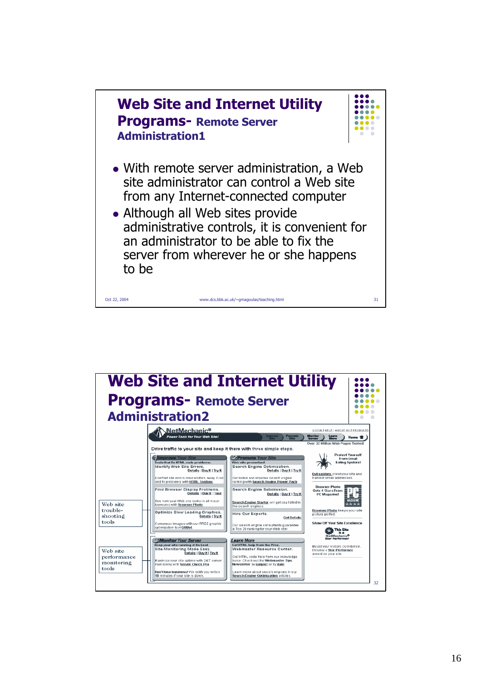

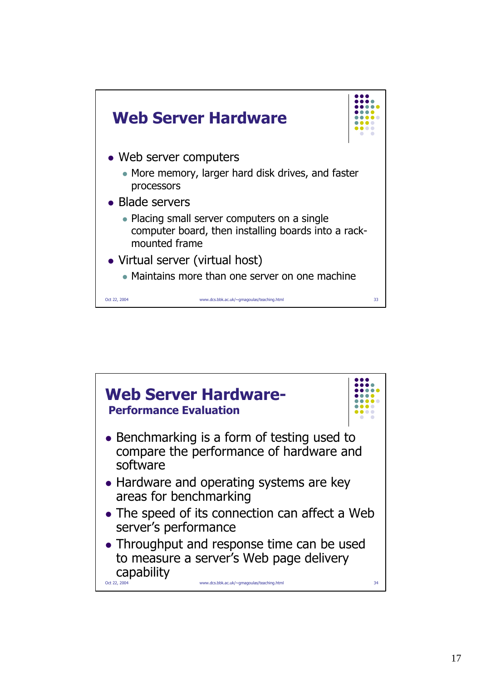

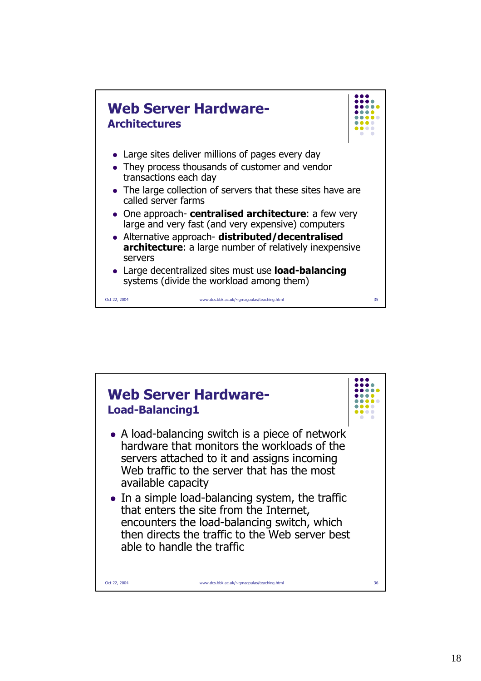

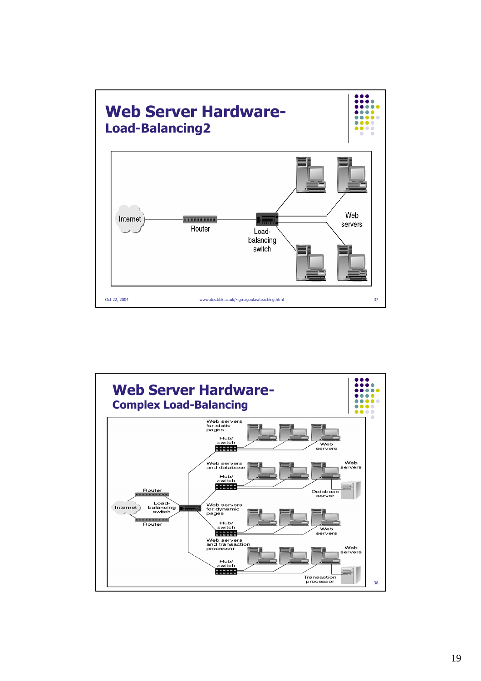

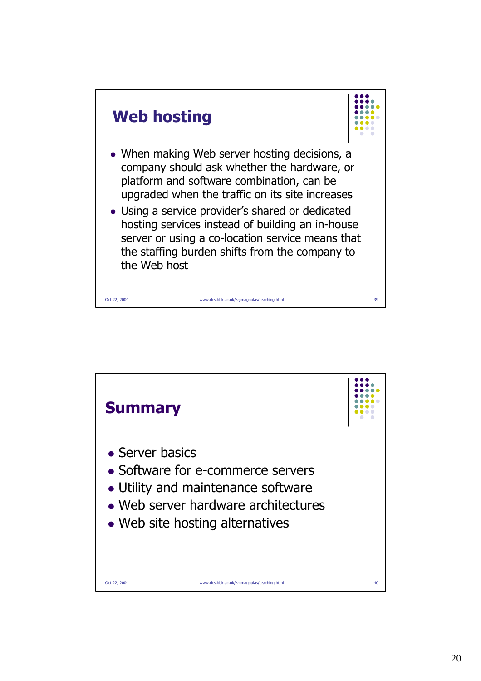